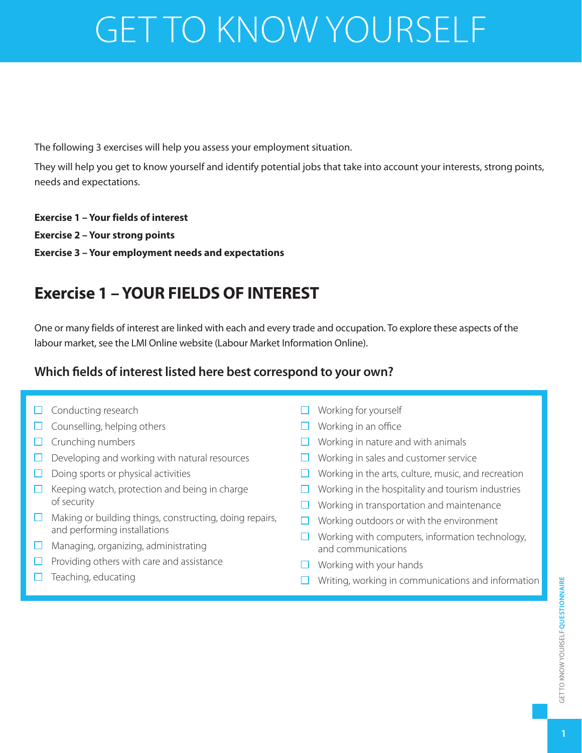# GET TO KNOW YOURSELF

The following 3 exercises will help you assess your employment situation.

They will help you get to know yourself and identify potential jobs that take into account your interests, strong points, needs and expectations.

#### **Exercise 1 – Your fields of interest**

**Exercise 2 – Your strong points**

**Exercise 3 – Your employment needs and expectations**

# **Exercise 1 – YOUR FIELDS OF INTEREST**

One or many fields of interest are linked with each and every trade and occupation. To explore these aspects of the labour market, see the LMI Online website (Labour Market Information Online).

# **Which fields of interest listed here best correspond to your own?**

- $\Box$  Conducting research
- $\Box$  Counselling, helping others
- $\Box$  Crunching numbers
- $\Box$  Developing and working with natural resources
- $\Box$  Doing sports or physical activities
- $\Box$  Keeping watch, protection and being in charge of security
- $\Box$  Making or building things, constructing, doing repairs, and performing installations
- $\Box$  Managing, organizing, administrating
- $\Box$  Providing others with care and assistance
- $\Box$  Teaching, educating
- $\Box$  Working for yourself
- $\Box$  Working in an office
- $\Box$  Working in nature and with animals
- $\Box$  Working in sales and customer service
- $\Box$  Working in the arts, culture, music, and recreation
- $\Box$  Working in the hospitality and tourism industries
- $\Box$  Working in transportation and maintenance
- $\Box$  Working outdoors or with the environment
- $\Box$  Working with computers, information technology, and communications
- $\Box$  Working with your hands
- $\Box$  Writing, working in communications and information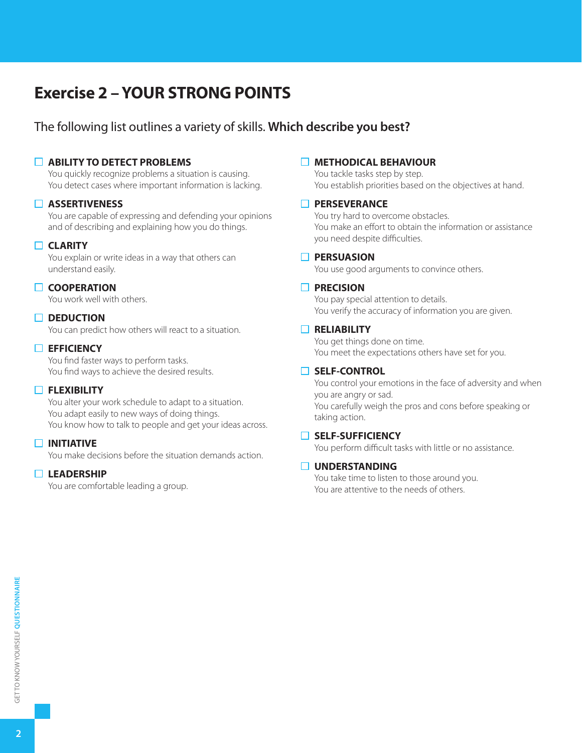# **Exercise 2 – YOUR STRONG POINTS**

## The following list outlines a variety of skills. **Which describe you best?**

#### **ABILITY TO DETECT PROBLEMS**

You quickly recognize problems a situation is causing. You detect cases where important information is lacking.

#### **ASSERTIVENESS**

You are capable of expressing and defending your opinions and of describing and explaining how you do things.

#### **CLARITY**

You explain or write ideas in a way that others can understand easily.

#### **COOPERATION**

You work well with others.

#### □ DEDUCTION

You can predict how others will react to a situation.

#### **EFFICIENCY**

You find faster ways to perform tasks. You find ways to achieve the desired results.

#### **FLEXIBILITY**

You alter your work schedule to adapt to a situation. You adapt easily to new ways of doing things. You know how to talk to people and get your ideas across.

#### **INITIATIVE**

You make decisions before the situation demands action.

#### **LEADERSHIP**

You are comfortable leading a group.

#### **METHODICAL BEHAVIOUR**

You tackle tasks step by step. You establish priorities based on the objectives at hand.

#### **PERSEVERANCE**

You try hard to overcome obstacles. You make an effort to obtain the information or assistance you need despite difficulties.

#### **PERSUASION**

You use good arguments to convince others.

#### **PRECISION**

You pay special attention to details. You verify the accuracy of information you are given.

#### **RELIABILITY**

You get things done on time. You meet the expectations others have set for you.

#### **SELF-CONTROL**

You control your emotions in the face of adversity and when you are angry or sad. You carefully weigh the pros and cons before speaking or taking action.

#### **SELF-SUFFICIENCY**

You perform difficult tasks with little or no assistance.

#### **UNDERSTANDING**

You take time to listen to those around you. You are attentive to the needs of others.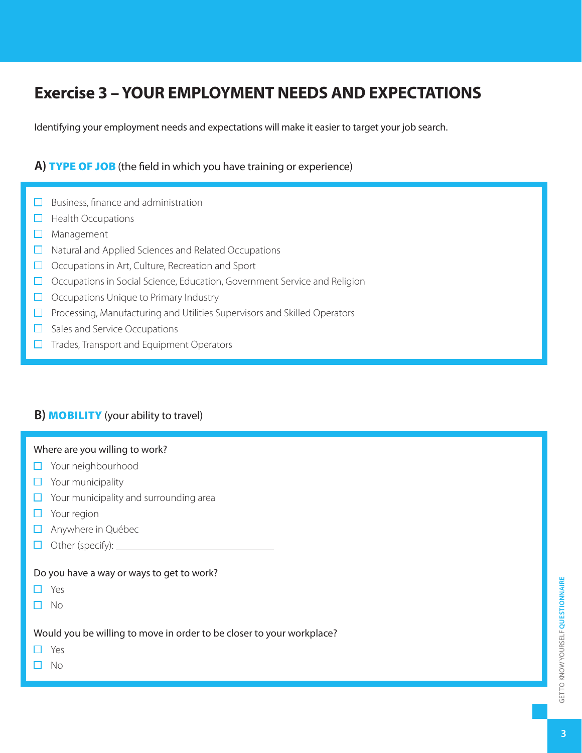# **Exercise 3 – YOUR EMPLOYMENT NEEDS AND EXPECTATIONS**

Identifying your employment needs and expectations will make it easier to target your job search.

### **A)** TYPE OF JOB (the field in which you have training or experience)

- $\Box$  Business, finance and administration
- $\Box$  Health Occupations
- **D** Management
- □ Natural and Applied Sciences and Related Occupations
- $\Box$  Occupations in Art, Culture, Recreation and Sport
- $\Box$  Occupations in Social Science, Education, Government Service and Religion
- $\Box$  Occupations Unique to Primary Industry
- $\Box$  Processing, Manufacturing and Utilities Supervisors and Skilled Operators
- $\Box$  Sales and Service Occupations
- $\Box$  Trades, Transport and Equipment Operators

#### **B) MOBILITY** (your ability to travel)

#### Where are you willing to work?

- □ Your neighbourhood
- $\Box$  Your municipality
- $\Box$  Your municipality and surrounding area
- **D** Your region
- Anywhere in Québec
- $\Box$  Other (specify):  $\Box$

#### Do you have a way or ways to get to work?

- Yes  $\Box$
- $\Box$  No

Would you be willing to move in order to be closer to your workplace?

- П Yes
- $\Box$  No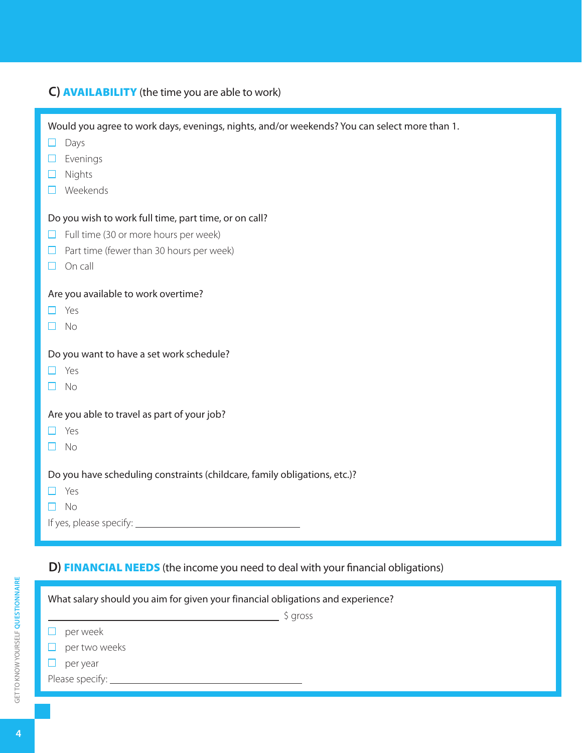|  | C) <b>AVAILABILITY</b> (the time you are able to work) |
|--|--------------------------------------------------------|
|--|--------------------------------------------------------|

| Would you agree to work days, evenings, nights, and/or weekends? You can select more than 1.<br>Days<br>ப<br>Evenings<br>H<br>Nights<br>H<br>Weekends<br>$\Box$ |
|-----------------------------------------------------------------------------------------------------------------------------------------------------------------|
| Do you wish to work full time, part time, or on call?                                                                                                           |
| Full time (30 or more hours per week)<br>□                                                                                                                      |
| $\Box$ Part time (fewer than 30 hours per week)                                                                                                                 |
|                                                                                                                                                                 |
| On call<br>$\Box$                                                                                                                                               |
| Are you available to work overtime?<br>Yes<br><b>No</b><br>П                                                                                                    |
| Do you want to have a set work schedule?                                                                                                                        |
| $\Box$ Yes                                                                                                                                                      |
| No<br>H                                                                                                                                                         |
|                                                                                                                                                                 |
| Are you able to travel as part of your job?                                                                                                                     |
| Yes<br>H                                                                                                                                                        |
| No<br>H                                                                                                                                                         |
|                                                                                                                                                                 |
| Do you have scheduling constraints (childcare, family obligations, etc.)?                                                                                       |
| Yes<br>H                                                                                                                                                        |
| $\Box$ No                                                                                                                                                       |
|                                                                                                                                                                 |
|                                                                                                                                                                 |

# **D)** FINANCIAL NEEDS (the income you need to deal with your financial obligations)

| What salary should you aim for given your financial obligations and experience? |           |  |
|---------------------------------------------------------------------------------|-----------|--|
|                                                                                 | $$$ gross |  |
| per week                                                                        |           |  |
| $\Box$ per two weeks                                                            |           |  |
| H<br>per year                                                                   |           |  |
| Please specify:                                                                 |           |  |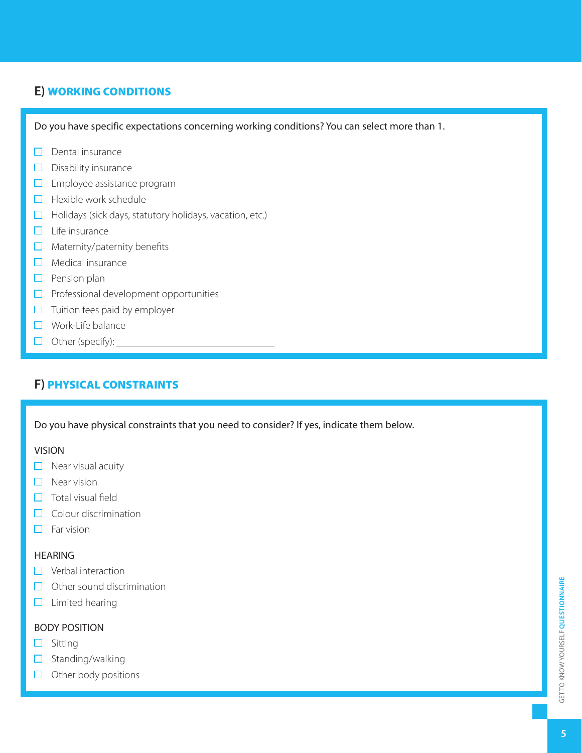## **E)** WORKING CONDITIONS

Do you have specific expectations concerning working conditions? You can select more than 1.

- $\Box$  Dental insurance
- $\square$  Disability insurance
- $\square$  Employee assistance program
- $\Box$  Flexible work schedule
- $\Box$  Holidays (sick days, statutory holidays, vacation, etc.)
- $\Box$  Life insurance
- $\Box$  Maternity/paternity benefits
- $\Box$  Medical insurance
- $\Box$  Pension plan
- $\Box$  Professional development opportunities
- $\Box$  Tuition fees paid by employer
- □ Work-Life balance
- $\Box$  Other (specify):  $\Box$

# **F)** PHYSICAL CONSTRAINTS

Do you have physical constraints that you need to consider? If yes, indicate them below.

#### VISION

- $\Box$  Near visual acuity
- $\Box$  Near vision
- $\Box$  Total visual field
- $\Box$  Colour discrimination
- $\Box$  Far vision

#### **HEARING**

- $\Box$  Verbal interaction
- $\Box$  Other sound discrimination
- $\Box$  Limited hearing

#### BODY POSITION

- $\square$  Sitting
- $\Box$  Standing/walking
- $\Box$  Other body positions